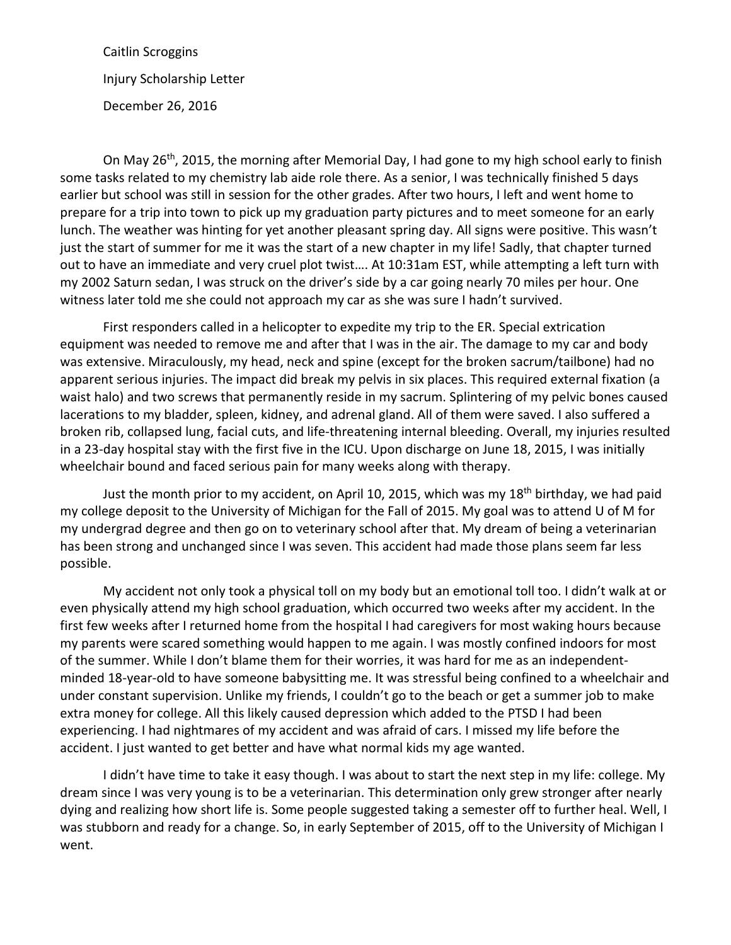Caitlin Scroggins Injury Scholarship Letter December 26, 2016

On May 26<sup>th</sup>, 2015, the morning after Memorial Day, I had gone to my high school early to finish some tasks related to my chemistry lab aide role there. As a senior, I was technically finished 5 days earlier but school was still in session for the other grades. After two hours, I left and went home to prepare for a trip into town to pick up my graduation party pictures and to meet someone for an early lunch. The weather was hinting for yet another pleasant spring day. All signs were positive. This wasn't just the start of summer for me it was the start of a new chapter in my life! Sadly, that chapter turned out to have an immediate and very cruel plot twist…. At 10:31am EST, while attempting a left turn with my 2002 Saturn sedan, I was struck on the driver's side by a car going nearly 70 miles per hour. One witness later told me she could not approach my car as she was sure I hadn't survived.

First responders called in a helicopter to expedite my trip to the ER. Special extrication equipment was needed to remove me and after that I was in the air. The damage to my car and body was extensive. Miraculously, my head, neck and spine (except for the broken sacrum/tailbone) had no apparent serious injuries. The impact did break my pelvis in six places. This required external fixation (a waist halo) and two screws that permanently reside in my sacrum. Splintering of my pelvic bones caused lacerations to my bladder, spleen, kidney, and adrenal gland. All of them were saved. I also suffered a broken rib, collapsed lung, facial cuts, and life-threatening internal bleeding. Overall, my injuries resulted in a 23-day hospital stay with the first five in the ICU. Upon discharge on June 18, 2015, I was initially wheelchair bound and faced serious pain for many weeks along with therapy.

Just the month prior to my accident, on April 10, 2015, which was my  $18<sup>th</sup>$  birthday, we had paid my college deposit to the University of Michigan for the Fall of 2015. My goal was to attend U of M for my undergrad degree and then go on to veterinary school after that. My dream of being a veterinarian has been strong and unchanged since I was seven. This accident had made those plans seem far less possible.

My accident not only took a physical toll on my body but an emotional toll too. I didn't walk at or even physically attend my high school graduation, which occurred two weeks after my accident. In the first few weeks after I returned home from the hospital I had caregivers for most waking hours because my parents were scared something would happen to me again. I was mostly confined indoors for most of the summer. While I don't blame them for their worries, it was hard for me as an independentminded 18-year-old to have someone babysitting me. It was stressful being confined to a wheelchair and under constant supervision. Unlike my friends, I couldn't go to the beach or get a summer job to make extra money for college. All this likely caused depression which added to the PTSD I had been experiencing. I had nightmares of my accident and was afraid of cars. I missed my life before the accident. I just wanted to get better and have what normal kids my age wanted.

I didn't have time to take it easy though. I was about to start the next step in my life: college. My dream since I was very young is to be a veterinarian. This determination only grew stronger after nearly dying and realizing how short life is. Some people suggested taking a semester off to further heal. Well, I was stubborn and ready for a change. So, in early September of 2015, off to the University of Michigan I went.